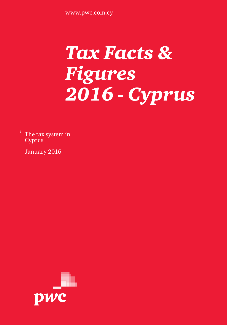www.pwc.com.cy

# *Tax Facts & Figures 2016 - Cyprus*

The tax system in Cyprus

January 2016

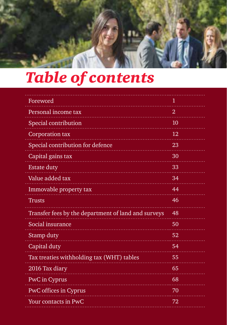# *Table of contents*

| Foreword                                            | 1              |
|-----------------------------------------------------|----------------|
| Personal income tax                                 | $\overline{2}$ |
| Special contribution                                | 10             |
| Corporation tax                                     | 12             |
| Special contribution for defence                    | 23             |
| Capital gains tax                                   | 30             |
| <b>Estate duty</b>                                  | 33             |
| Value added tax                                     | 34             |
| Immovable property tax                              | 44             |
| <b>Trusts</b>                                       | 46             |
| Transfer fees by the department of land and surveys | 48             |
| Social insurance                                    | 50             |
| Stamp duty                                          | 52             |
| Capital duty                                        | 54             |
| Tax treaties withholding tax (WHT) tables           | 55             |
| 2016 Tax diary                                      | 65             |
| PwC in Cyprus                                       | 68             |
| PwC offices in Cyprus                               | 70             |
| Your contacts in PwC                                | 72             |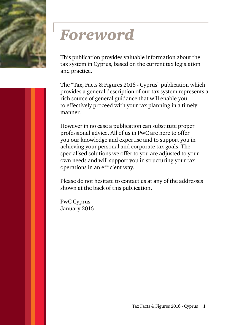

# *Foreword*

This publication provides valuable information about the tax system in Cyprus, based on the current tax legislation and practice.

The "Tax, Facts & Figures 2016 - Cyprus" publication which provides a general description of our tax system represents a rich source of general guidance that will enable you to effectively proceed with your tax planning in a timely manner.

However in no case a publication can substitute proper professional advice. All of us in PwC are here to offer you our knowledge and expertise and to support you in achieving your personal and corporate tax goals. The specialised solutions we offer to you are adjusted to your own needs and will support you in structuring your tax operations in an efficient way.

Please do not hesitate to contact us at any of the addresses shown at the back of this publication.

PwC Cyprus January 2016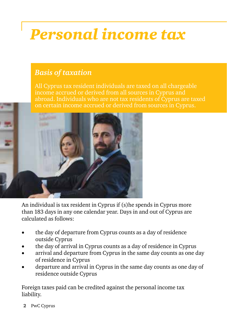# *Personal income tax*

# *Basis of taxation*

income accrued or derived from all sources in Cyprus and



An individual is tax resident in Cyprus if (s)he spends in Cyprus more than 183 days in any one calendar year. Days in and out of Cyprus are calculated as follows:

- the day of departure from Cyprus counts as a day of residence outside Cyprus
- the day of arrival in Cyprus counts as a day of residence in Cyprus
- arrival and departure from Cyprus in the same day counts as one day of residence in Cyprus
- departure and arrival in Cyprus in the same day counts as one day of residence outside Cyprus

Foreign taxes paid can be credited against the personal income tax liability.

 **2** PwC Cyprus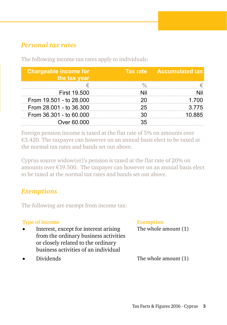# *Personal tax rates*

| <b>Chargeable income for</b><br>the tax year |     | Tax rate Accumulated tax |
|----------------------------------------------|-----|--------------------------|
|                                              |     |                          |
| First 19.500                                 | Nil | Nil                      |
| From 19.501 - to 28.000                      | 20  | 1.700                    |
| From 28.001 - to 36.300                      | 25  | 3.775                    |
| From 36.301 - to 60.000                      | 30  | 10.885                   |
| Over 60,000                                  | 35  |                          |

The following income tax rates apply to individuals:

Foreign pension income is taxed at the flat rate of 5% on amounts over €3.420. The taxpayer can however on an annual basis elect to be taxed at the normal tax rates and bands set out above.

Cyprus source widow(er)'s pension is taxed at the flat rate of 20% on amounts over €19.500. The taxpayer can however on an annual basis elect to be taxed at the normal tax rates and bands set out above.

### *Exemptions*

The following are exempt from income tax:

#### **Type of income Exemption**

- Interest, except for interest arising from the ordinary business activities or closely related to the ordinary business activities of an individual
- 

The whole amount (1)

**Dividends** The whole amount (1)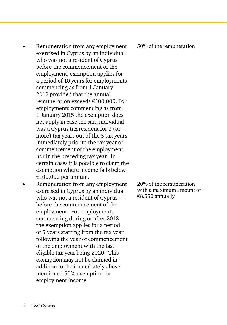- Remuneration from any employment exercised in Cyprus by an individual who was not a resident of Cyprus before the commencement of the employment, exemption applies for a period of 10 years for employments commencing as from 1 January 2012 provided that the annual remuneration exceeds €100.000. For employments commencing as from 1 January 2015 the exemption does not apply in case the said individual was a Cyprus tax resident for 3 (or more) tax years out of the 5 tax years immediately prior to the tax year of commencement of the employment nor in the preceding tax year. In certain cases it is possible to claim the exemption where income falls below €100.000 per annum.
- Remuneration from any employment exercised in Cyprus by an individual who was not a resident of Cyprus before the commencement of the employment. For employments commencing during or after 2012 the exemption applies for a period of 5 years starting from the tax year following the year of commencement of the employment with the last eligible tax year being 2020. This exemption may not be claimed in addition to the immediately above mentioned 50% exemption for employment income.

50% of the remuneration

20% of the remuneration with a maximum amount of €8.550 annually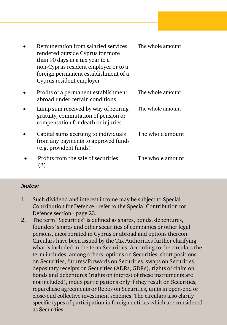| Remuneration from salaried services<br>rendered outside Cyprus for more<br>than 90 days in a tax year to a<br>non-Cyprus resident employer or to a<br>foreign permanent establishment of a<br>Cyprus resident employer | The whole amount |
|------------------------------------------------------------------------------------------------------------------------------------------------------------------------------------------------------------------------|------------------|
| Profits of a permanent establishment<br>abroad under certain conditions                                                                                                                                                | The whole amount |
| Lump sum received by way of retiring<br>gratuity, commutation of pension or<br>compensation for death or injuries                                                                                                      | The whole amount |
| Capital sums accruing to individuals<br>from any payments to approved funds<br>(e.g. provident funds)                                                                                                                  | The whole amount |
| Profits from the sale of securities<br>(2)                                                                                                                                                                             | The whole amount |

#### *Notes:*

- 1. Such dividend and interest income may be subject to Special Contribution for Defence - refer to the Special Contribution for Defence section - page 23.
- specific types of participation in foreign entities which are considered 2. The term "Securities" is defined as shares, bonds, debentures, founders' shares and other securities of companies or other legal persons, incorporated in Cyprus or abroad and options thereon. Circulars have been issued by the Tax Authorities further clarifying what is included in the term Securities. According to the circulars the term includes, among others, options on Securities, short positions on Securities, futures/forwards on Securities, swaps on Securities, depositary receipts on Securities (ADRs, GDRs), rights of claim on bonds and debentures (rights on interest of these instruments are not included), index participations only if they result on Securities, repurchase agreements or Repos on Securities, units in open-end or close-end collective investment schemes. The circulars also clarify as Securities.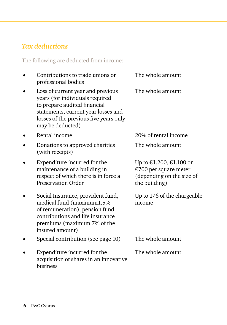# *Tax deductions*

### The following are deducted from income:

| Contributions to trade unions or<br>professional bodies                                                                                                                                                   | The whole amount                                                                               |
|-----------------------------------------------------------------------------------------------------------------------------------------------------------------------------------------------------------|------------------------------------------------------------------------------------------------|
| Loss of current year and previous<br>years (for individuals required<br>to prepare audited financial<br>statements, current year losses and<br>losses of the previous five years only<br>may be deducted) | The whole amount                                                                               |
| Rental income                                                                                                                                                                                             | 20% of rental income                                                                           |
| Donations to approved charities<br>(with receipts)                                                                                                                                                        | The whole amount                                                                               |
| Expenditure incurred for the<br>maintenance of a building in<br>respect of which there is in force a<br>Preservation Order                                                                                | Up to €1.200, €1.100 or<br>€700 per square meter<br>(depending on the size of<br>the building) |
| Social Insurance, provident fund,<br>medical fund (maximum1,5%<br>of remuneration), pension fund<br>contributions and life insurance<br>premiums (maximum 7% of the<br>insured amount)                    | Up to $1/6$ of the chargeable<br>income                                                        |
| Special contribution (see page 10)                                                                                                                                                                        | The whole amount                                                                               |
| Expenditure incurred for the<br>acquisition of shares in an innovative<br>business                                                                                                                        | The whole amount                                                                               |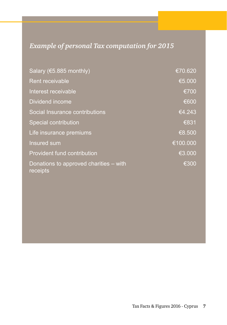# *Example of personal Tax computation for 2015*

| Salary ( $€5.885$ monthly)                         | €70.620  |
|----------------------------------------------------|----------|
| Rent receivable                                    | €5.000   |
| Interest receivable                                | €700     |
| Dividend income                                    | €600     |
| Social Insurance contributions                     | €4.243   |
| Special contribution                               | €831     |
| Life insurance premiums                            | €8.500   |
| Insured sum                                        | €100.000 |
| Provident fund contribution                        | €3.000   |
| Donations to approved charities – with<br>receipts | €300     |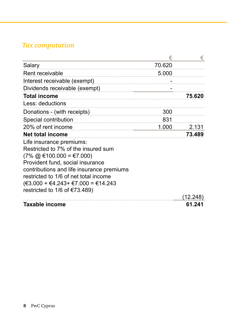# *Tax computation*

|                                                                                                         |        | €        |
|---------------------------------------------------------------------------------------------------------|--------|----------|
| Salary                                                                                                  | 70.620 |          |
| Rent receivable                                                                                         | 5.000  |          |
| Interest receivable (exempt)                                                                            |        |          |
| Dividends receivable (exempt)                                                                           |        |          |
| <b>Total income</b>                                                                                     |        | 75.620   |
| Less: deductions                                                                                        |        |          |
| Donations - (with receipts)                                                                             | 300    |          |
| Special contribution                                                                                    | 831    |          |
| 20% of rent income                                                                                      | 1.000  | 2.131    |
| Net total income                                                                                        |        | 73.489   |
| Life insurance premiums:<br>Restricted to 7% of the insured sum<br>$(7\% \text{ @ } €100.000 = €7.000)$ |        |          |
| Provident fund, social insurance                                                                        |        |          |
| contributions and life insurance premiums                                                               |        |          |
| restricted to 1/6 of net total income                                                                   |        |          |
| $(€3.000 + €4.243 + €7.000 = €14.243$                                                                   |        |          |
| restricted to 1/6 of €73.489)                                                                           |        | (12.248) |
| Taxable income                                                                                          |        | 61.241   |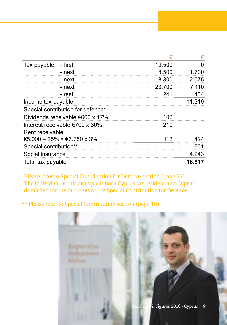| Tax payable:<br>- first           | 19.500 | 0      |
|-----------------------------------|--------|--------|
| - next                            | 8.500  | 1.700  |
| - next                            | 8.300  | 2.075  |
| - next                            | 23.700 | 7.110  |
| - rest                            | 1.241  | 434    |
| Income tax payable                |        | 11.319 |
| Special contribution for defence* |        |        |
| Dividends receivable €600 x 17%   | 102    |        |
| Interest receivable €700 x 30%    | 210    |        |
| Rent receivable                   |        |        |
| €5.000 - 25% = €3.750 x 3%        | 112    | 424    |
| Special contribution**            |        | 831    |
| Social insurance                  |        | 4.243  |
| Total tax payable                 |        | 16.817 |

\*Please refer to Special Contribution for Defence section (page 23). The individual in this example is both Cyprus tax resident and Cyprus domiciled for the purposes of the Special Contribution for Defence.

\*\* Please refer to Special Contribution section (page 10)

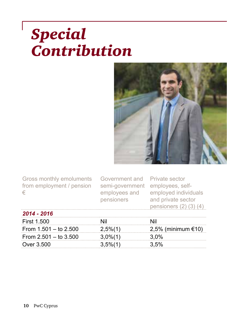# *Special Contribution*



Gross monthly emoluments from employment / pension €

Government and semi-government employees and pensioners

Private sector employees, selfemployed individuals and private sector pensioners (2) (3) (4)

| 2014 - 2016               |             |                    |
|---------------------------|-------------|--------------------|
| First 1.500               | Nil         | Nil                |
| From $1.501 -$ to $2.500$ | $2.5\%(1)$  | 2,5% (minimum €10) |
| From $2.501 -$ to $3.500$ | $3,0\%$ (1) | $3.0\%$            |
| Over 3.500                | $3,5\%$ (1) | 3.5%               |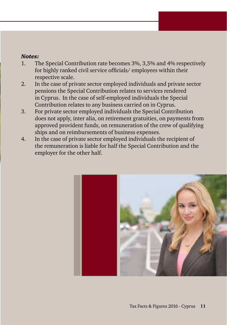#### *Notes:*

- 1. The Special Contribution rate becomes 3%, 3,5% and 4% respectively for highly ranked civil service officials/ employees within their respective scale.
- 2. In the case of private sector employed individuals and private sector pensions the Special Contribution relates to services rendered in Cyprus. In the case of self-employed individuals the Special Contribution relates to any business carried on in Cyprus.
- 3. For private sector employed individuals the Special Contribution does not apply, inter alia, on retirement gratuities, on payments from approved provident funds, on remuneration of the crew of qualifying ships and on reimbursements of business expenses.
- 4. In the case of private sector employed individuals the recipient of the remuneration is liable for half the Special Contribution and the employer for the other half.

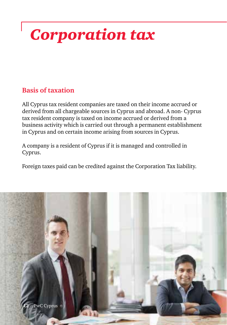# *Corporation tax*

### **Basis of taxation**

All Cyprus tax resident companies are taxed on their income accrued or derived from all chargeable sources in Cyprus and abroad. A non- Cyprus tax resident company is taxed on income accrued or derived from a business activity which is carried out through a permanent establishment in Cyprus and on certain income arising from sources in Cyprus.

A company is a resident of Cyprus if it is managed and controlled in Cyprus.

Foreign taxes paid can be credited against the Corporation Tax liability.

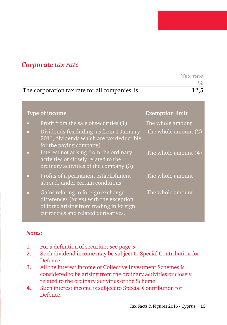### *Corporate tax rate*

|   |                                                                                                                                                                 | Tax rate<br>$\frac{0}{0}$ |
|---|-----------------------------------------------------------------------------------------------------------------------------------------------------------------|---------------------------|
|   | The corporation tax rate for all companies is                                                                                                                   | 12,5                      |
|   |                                                                                                                                                                 |                           |
|   | Type of income                                                                                                                                                  | <b>Exemption limit</b>    |
|   | Profit from the sale of securities (1)                                                                                                                          | The whole amount          |
| n | Dividends (excluding, as from 1 January<br>2016, dividends which are tax deductible<br>for the paying company)                                                  | The whole amount (2)      |
|   | Interest not arising from the ordinary<br>activities or closely related to the<br>ordinary activities of the company $(3)$                                      | The whole amount (4)      |
|   | Profits of a permanent establishment<br>abroad, under certain conditions                                                                                        | The whole amount          |
|   | Gains relating to foreign exchange<br>differences (forex) with the exception<br>of forex arising from trading in foreign<br>currencies and related derivatives. | The whole amount          |

#### *Notes:*

- 1. For a definition of securities see page 5.<br>2. Such dividend income may be subject to
- Such dividend income may be subject to Special Contribution for Defence.
- 3. All the interest income of Collective Investment Schemes is considered to be arising from the ordinary activities or closely related to the ordinary activities of the Scheme.
- 4. Such interest income is subject to Special Contribution for Defence.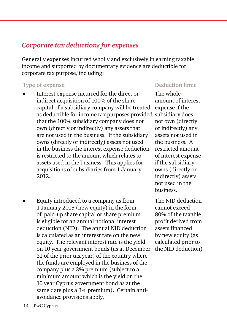### *Corporate tax deductions for expenses*

Generally expenses incurred wholly and exclusively in earning taxable income and supported by documentary evidence are deductible for corporate tax purpose, including:

#### **Type of expense Deduction limit**

- Interest expense incurred for the direct or indirect acquisition of 100% of the share capital of a subsidiary company will be treated as deductible for income tax purposes provided subsidiary does that the 100% subsidiary company does not own (directly or indirectly) any assets that are not used in the business. If the subsidiary owns (directly or indirectly) assets not used in the business the interest expense deduction is restricted to the amount which relates to assets used in the business. This applies for acquisitions of subsidiaries from 1 January 2012.
- Equity introduced to a company as from 1 January 2015 (new equity) in the form of paid-up share capital or share premium is eligible for an annual notional interest deduction (NID). The annual NID deduction is calculated as an interest rate on the new equity. The relevant interest rate is the yield on 10 year government bonds (as at December 31 of the prior tax year) of the country where the funds are employed in the business of the company plus a 3% premium (subject to a minimum amount which is the yield on the 10 year Cyprus government bond as at the same date plus a 3% premium). Certain antiavoidance provisions apply.

The whole amount of interest expense if the not own (directly or indirectly) any assets not used in the business. A restricted amount of interest expense if the subsidiary owns (directly or indirectly) assets not used in the business.

The NID deduction cannot exceed 80% of the taxable profit derived from assets financed by new equity (as calculated prior to the NID deduction)

 **14** PwC Cyprus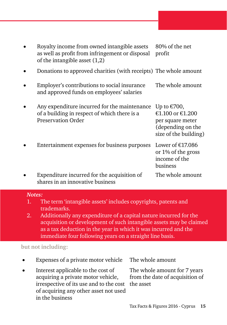| Royalty income from owned intangible assets<br>as well as profit from infringement or disposal<br>of the intangible asset $(1,2)$ | 80% of the net<br>profit                                                                          |
|-----------------------------------------------------------------------------------------------------------------------------------|---------------------------------------------------------------------------------------------------|
| Donations to approved charities (with receipts) The whole amount                                                                  |                                                                                                   |
| Employer's contributions to social insurance<br>and approved funds on employees' salaries                                         | The whole amount                                                                                  |
| Any expenditure incurred for the maintenance<br>of a building in respect of which there is a<br>Preservation Order                | Up to €700,<br>€1.100 or €1.200<br>per square meter<br>(depending on the<br>size of the building) |
| Entertainment expenses for business purposes                                                                                      | Lower of $£17.086$<br>or 1% of the gross<br>income of the<br>business                             |
| Expenditure incurred for the acquisition of<br>shares in an innovative business                                                   | The whole amount                                                                                  |

#### *Notes:*

- 1. The term 'intangible assets' includes copyrights, patents and trademarks.
- 2. Additionally any expenditure of a capital nature incurred for the acquisition or development of such intangible assets may be claimed as a tax deduction in the year in which it was incurred and the immediate four following years on a straight line basis.

#### **but not including:**

Expenses of a private motor vehicle The whole amount

Interest applicable to the cost of acquiring a private motor vehicle, irrespective of its use and to the cost of acquiring any other asset not used in the business

The whole amount for 7 years from the date of acquisition of the asset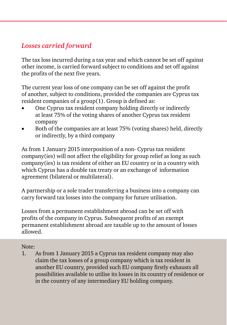# *Losses carried forward*

The tax loss incurred during a tax year and which cannot be set off against other income, is carried forward subject to conditions and set off against the profits of the next five years.

The current year loss of one company can be set off against the profit of another, subject to conditions, provided the companies are Cyprus tax resident companies of a group(1). Group is defined as:

- One Cyprus tax resident company holding directly or indirectly at least 75% of the voting shares of another Cyprus tax resident company
- Both of the companies are at least 75% (voting shares) held, directly or indirectly, by a third company

As from 1 January 2015 interposition of a non- Cyprus tax resident company(ies) will not affect the eligibility for group relief as long as such company(ies) is tax resident of either an EU country or in a country with which Cyprus has a double tax treaty or an exchange of information agreement (bilateral or multilateral).

A partnership or a sole trader transferring a business into a company can carry forward tax losses into the company for future utilisation.

Losses from a permanent establishment abroad can be set off with profits of the company in Cyprus. Subsequent profits of an exempt permanent establishment abroad are taxable up to the amount of losses allowed.

#### Note:

1. As from 1 January 2015 a Cyprus tax resident company may also claim the tax losses of a group company which is tax resident in another EU country, provided such EU company firstly exhausts all possibilities available to utilise its losses in its country of residence or in the country of any intermediary EU holding company.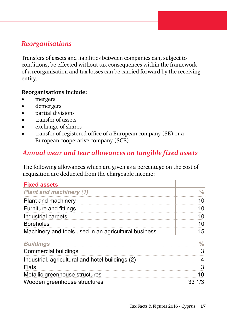## *Reorganisations*

Transfers of assets and liabilities between companies can, subject to conditions, be effected without tax consequences within the framework of a reorganisation and tax losses can be carried forward by the receiving entity.

#### **Reorganisations include:**

- mergers
- demergers
- partial divisions
- transfer of assets
- exchange of shares
- transfer of registered office of a European company (SE) or a European cooperative company (SCE).

## *Annual wear and tear allowances on tangible fixed assets*

The following allowances which are given as a percentage on the cost of acquisition are deducted from the chargeable income:

| <b>Fixed assets</b>                                  |                  |
|------------------------------------------------------|------------------|
| <b>Plant and machinery (1)</b>                       | $\frac{0}{0}$    |
| Plant and machinery                                  | 10               |
| Furniture and fittings                               | 10               |
| Industrial carpets                                   | 10               |
| <b>Boreholes</b>                                     | 10               |
| Machinery and tools used in an agricultural business | 15               |
| <b>Buildinas</b>                                     | $\frac{0}{0}$    |
| Commercial buildings                                 | 3                |
| Industrial, agricultural and hotel buildings (2)     | 4                |
| Flats                                                | 3                |
| Metallic greenhouse structures                       | 10               |
| Wooden greenhouse structures                         | $33 \frac{1}{3}$ |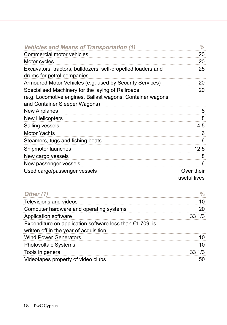| <b>Vehicles and Means of Transportation (1)</b>                                             | $\frac{0}{0}$              |
|---------------------------------------------------------------------------------------------|----------------------------|
| Commercial motor vehicles                                                                   | 20                         |
| Motor cycles                                                                                | 20                         |
| Excavators, tractors, bulldozers, self-propelled loaders and<br>drums for petrol companies  | 25                         |
| Armoured Motor Vehicles (e.g. used by Security Services)                                    | 20                         |
| Specialised Machinery for the laying of Railroads                                           | 20                         |
| (e.g. Locomotive engines, Ballast wagons, Container wagons<br>and Container Sleeper Wagons) |                            |
| <b>New Airplanes</b>                                                                        | 8                          |
| <b>New Helicopters</b>                                                                      | 8                          |
| Sailing vessels                                                                             | 4,5                        |
| <b>Motor Yachts</b>                                                                         | 6                          |
| Steamers, tugs and fishing boats                                                            | 6                          |
| Shipmotor launches                                                                          | 12,5                       |
| New cargo vessels                                                                           | 8                          |
| New passenger vessels                                                                       | 6                          |
| Used cargo/passenger vessels                                                                | Over their<br>useful lives |

| Other (1)                                                                                             | $\frac{0}{0}$    |
|-------------------------------------------------------------------------------------------------------|------------------|
| Televisions and videos                                                                                | 10               |
| Computer hardware and operating systems                                                               | 20               |
| Application software                                                                                  | 33.1/3           |
| Expenditure on application software less than $€1.709$ , is<br>written off in the year of acquisition |                  |
| <b>Wind Power Generators</b>                                                                          | 10               |
| <b>Photovoltaic Systems</b>                                                                           | 10               |
| Tools in general                                                                                      | $33 \frac{1}{3}$ |
| Videotapes property of video clubs                                                                    | 50               |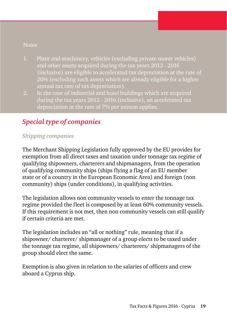- and other assets acquired during the tax years 2012 2016 (inclusive) are eligible to accelerated tax depreciation at the rate of 20% (excluding such assets which are already eligible for a higher annual tax rate of tax depreciation).
- during the tax years 2012 2016 (inclusive), an accelerated tax depreciation at the rate of 7% per annum applies.

# *Special type of companies*

### *Shipping companies*

The Merchant Shipping Legislation fully approved by the EU provides for exemption from all direct taxes and taxation under tonnage tax regime of qualifying shipowners, charterers and shipmanagers, from the operation of qualifying community ships (ships flying a flag of an EU member state or of a country in the European Economic Area) and foreign (non community) ships (under conditions), in qualifying activities.

The legislation allows non community vessels to enter the tonnage tax regime provided the fleet is composed by at least 60% community vessels. If this requirement is not met, then non community vessels can still qualify if certain criteria are met.

The legislation includes an "all or nothing" rule, meaning that if a shipowner/ charterer/ shipmanager of a group elects to be taxed under the tonnage tax regime, all shipowners/ charterers/ shipmanagers of the group should elect the same.

Exemption is also given in relation to the salaries of officers and crew aboard a Cyprus ship.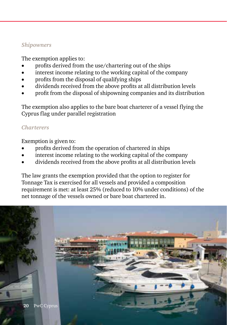#### *Shipowners*

The exemption applies to:

- profits derived from the use/chartering out of the ships
- interest income relating to the working capital of the company
- profits from the disposal of qualifying ships
- dividends received from the above profits at all distribution levels
- profit from the disposal of shipowning companies and its distribution

The exemption also applies to the bare boat charterer of a vessel flying the Cyprus flag under parallel registration

### *Charterers*

Exemption is given to:

- profits derived from the operation of chartered in ships
- interest income relating to the working capital of the company
- dividends received from the above profits at all distribution levels

The law grants the exemption provided that the option to register for Tonnage Tax is exercised for all vessels and provided a composition requirement is met: at least 25% (reduced to 10% under conditions) of the net tonnage of the vessels owned or bare boat chartered in.

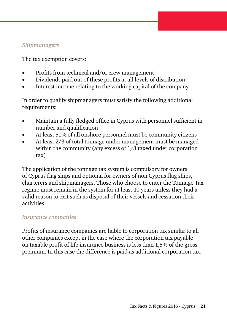#### *Shipmanagers*

The tax exemption covers:

- Profits from technical and/or crew management
- Dividends paid out of these profits at all levels of distribution
- Interest income relating to the working capital of the company

In order to qualify shipmanagers must satisfy the following additional requirements:

- Maintain a fully fledged office in Cyprus with personnel sufficient in number and qualification
- At least 51% of all onshore personnel must be community citizens
- At least 2/3 of total tonnage under management must be managed within the community (any excess of 1/3 taxed under corporation tax)

The application of the tonnage tax system is compulsory for owners of Cyprus flag ships and optional for owners of non Cyprus flag ships, charterers and shipmanagers. Those who choose to enter the Tonnage Tax regime must remain in the system for at least 10 years unless they had a valid reason to exit such as disposal of their vessels and cessation their activities.

#### *Insurance companies*

Profits of insurance companies are liable to corporation tax similar to all other companies except in the case where the corporation tax payable on taxable profit of life insurance business is less than 1,5% of the gross premium. In this case the difference is paid as additional corporation tax.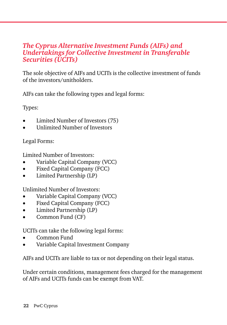### *The Cyprus Alternative Investment Funds (AIFs) and Undertakings for Collective Investment in Transferable Securities (UCITs)*

The sole objective of AIFs and UCITs is the collective investment of funds of the investors/unitholders.

AIFs can take the following types and legal forms:

Types:

- Limited Number of Investors (75)
- Unlimited Number of Investors

Legal Forms:

Limited Number of Investors:

- Variable Capital Company (VCC)
- Fixed Capital Company (FCC)
- Limited Partnership (LP)

Unlimited Number of Investors:

- Variable Capital Company (VCC)
- Fixed Capital Company (FCC)
- Limited Partnership (LP)
- Common Fund (CF)

UCITs can take the following legal forms:

- Common Fund
- Variable Capital Investment Company

AIFs and UCITs are liable to tax or not depending on their legal status.

Under certain conditions, management fees charged for the management of AIFs and UCITs funds can be exempt from VAT.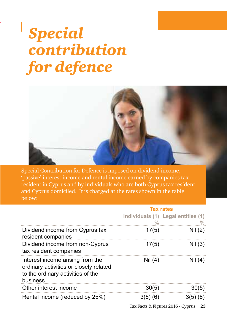# *Special contribution for defence*



Special Contribution for Defence is imposed on dividend income, 'passive' interest income and rental income earned by companies tax resident in Cyprus and by individuals who are both Cyprus tax resident and Cyprus domiciled. It is charged at the rates shown in the table

|                                                                                                                             | <b>Tax rates</b><br>Individuals (1) Legal entities (1) |                          |
|-----------------------------------------------------------------------------------------------------------------------------|--------------------------------------------------------|--------------------------|
| Dividend income from Cyprus tax<br>resident companies                                                                       | $\frac{0}{0}$<br>17(5)                                 | $\frac{0}{0}$<br>Nil (2) |
| Dividend income from non-Cyprus<br>tax resident companies                                                                   | 17(5)                                                  | Nil (3)                  |
| Interest income arising from the<br>ordinary activities or closely related<br>to the ordinary activities of the<br>business | Nil (4)                                                | Nil $(4)$                |
| Other interest income                                                                                                       | 30(5)                                                  | 30(5)                    |
| Rental income (reduced by 25%)                                                                                              | 3(5)(6)                                                | 3(5)(6)                  |

Tax Facts & Figures 2016 - Cyprus **23**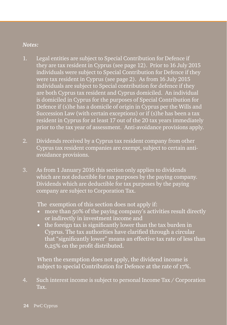#### *Notes:*

- 1. Legal entities are subject to Special Contribution for Defence if they are tax resident in Cyprus (see page 12). Prior to 16 July 2015 individuals were subject to Special Contribution for Defence if they were tax resident in Cyprus (see page 2). As from 16 July 2015 individuals are subject to Special contribution for defence if they are both Cyprus tax resident and Cyprus domiciled. An individual is domiciled in Cyprus for the purposes of Special Contribution for Defence if (s)he has a domicile of origin in Cyprus per the Wills and Succession Law (with certain exceptions) or if (s)he has been a tax resident in Cyprus for at least 17 out of the 20 tax years immediately prior to the tax year of assessment. Anti-avoidance provisions apply.
- 2. Dividends received by a Cyprus tax resident company from other Cyprus tax resident companies are exempt, subject to certain antiavoidance provisions.
- 3. As from 1 January 2016 this section only applies to dividends which are not deductible for tax purposes by the paying company. Dividends which are deductible for tax purposes by the paying company are subject to Corporation Tax.

The exemption of this section does not apply if:

- more than 50% of the paying company's activities result directly or indirectly in investment income and
- the foreign tax is significantly lower than the tax burden in Cyprus. The tax authorities have clarified through a circular that "significantly lower" means an effective tax rate of less than 6,25% on the profit distributed.

When the exemption does not apply, the dividend income is subject to special Contribution for Defence at the rate of 17%.

4. Such interest income is subject to personal Income Tax / Corporation Tax.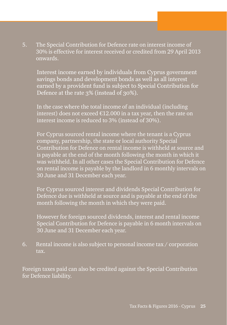5. The Special Contribution for Defence rate on interest income of 30% is effective for interest received or credited from 29 April 2013

Interest income earned by individuals from Cyprus government savings bonds and development bonds as well as all interest earned by a provident fund is subject to Special Contribution for Defence at the rate 3% (instead of 30%).

In the case where the total income of an individual (including interest) does not exceed €12.000 in a tax year, then the rate on interest income is reduced to 3% (instead of 30%).

For Cyprus sourced rental income where the tenant is a Cyprus company, partnership, the state or local authority Special Contribution for Defence on rental income is withheld at source and is payable at the end of the month following the month in which it was withheld. In all other cases the Special Contribution for Defence on rental income is payable by the landlord in 6 monthly intervals on 30 June and 31 December each year.

For Cyprus sourced interest and dividends Special Contribution for Defence due is withheld at source and is payable at the end of the month following the month in which they were paid.

However for foreign sourced dividends, interest and rental income Special Contribution for Defence is payable in 6 month intervals on 30 June and 31 December each year.

6. Rental income is also subject to personal income tax / corporation

Foreign taxes paid can also be credited against the Special Contribution for Defence liability.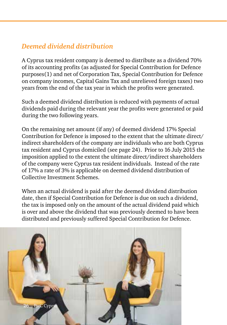# *Deemed dividend distribution*

A Cyprus tax resident company is deemed to distribute as a dividend 70% of its accounting profits (as adjusted for Special Contribution for Defence purposes(1) and net of Corporation Tax, Special Contribution for Defence on company incomes, Capital Gains Tax and unrelieved foreign taxes) two years from the end of the tax year in which the profits were generated.

Such a deemed dividend distribution is reduced with payments of actual dividends paid during the relevant year the profits were generated or paid during the two following years.

On the remaining net amount (if any) of deemed dividend 17% Special Contribution for Defence is imposed to the extent that the ultimate direct/ indirect shareholders of the company are individuals who are both Cyprus tax resident and Cyprus domiciled (see page 24). Prior to 16 July 2015 the imposition applied to the extent the ultimate direct/indirect shareholders of the company were Cyprus tax resident individuals. Instead of the rate of 17% a rate of 3% is applicable on deemed dividend distribution of Collective Investment Schemes.

When an actual dividend is paid after the deemed dividend distribution date, then if Special Contribution for Defence is due on such a dividend, the tax is imposed only on the amount of the actual dividend paid which is over and above the dividend that was previously deemed to have been distributed and previously suffered Special Contribution for Defence.

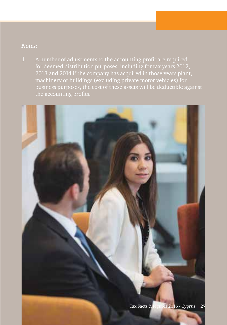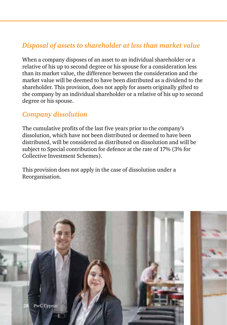# *Disposal of assets to shareholder at less than market value*

When a company disposes of an asset to an individual shareholder or a relative of his up to second degree or his spouse for a consideration less than its market value, the difference between the consideration and the market value will be deemed to have been distributed as a dividend to the shareholder. This provision, does not apply for assets originally gifted to the company by an individual shareholder or a relative of his up to second degree or his spouse.

### *Company dissolution*

The cumulative profits of the last five years prior to the company's dissolution, which have not been distributed or deemed to have been distributed, will be considered as distributed on dissolution and will be subject to Special contribution for defence at the rate of 17% (3% for Collective Investment Schemes).

This provision does not apply in the case of dissolution under a Reorganisation.

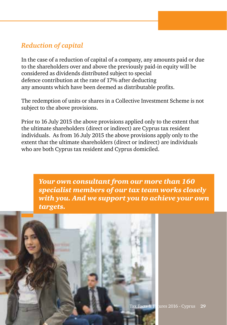# *Reduction of capital*

In the case of a reduction of capital of a company, any amounts paid or due to the shareholders over and above the previously paid-in equity will be considered as dividends distributed subject to special defence contribution at the rate of 17% after deducting any amounts which have been deemed as distributable profits.

The redemption of units or shares in a Collective Investment Scheme is not subject to the above provisions.

Prior to 16 July 2015 the above provisions applied only to the extent that the ultimate shareholders (direct or indirect) are Cyprus tax resident individuals. As from 16 July 2015 the above provisions apply only to the extent that the ultimate shareholders (direct or indirect) are individuals who are both Cyprus tax resident and Cyprus domiciled.

*Your own consultant from our more than 160 specialist members of our tax team works closely with you. And we support you to achieve your own targets.*



Tax Facts & Figures 2016 - Cyprus **29**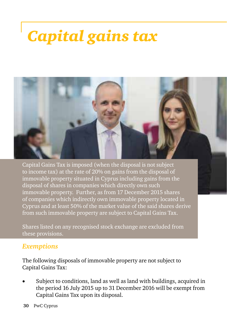# *Capital gains tax*



Capital Gains Tax is imposed (when the disposal is not subject to income tax) at the rate of 20% on gains from the disposal of immovable property situated in Cyprus including gains from the disposal of shares in companies which directly own such immovable property. Further, as from 17 December 2015 shares of companies which indirectly own immovable property located in Cyprus and at least 50% of the market value of the said shares derive from such immovable property are subject to Capital Gains Tax.

Shares listed on any recognised stock exchange are excluded from these provisions.

### *Exemptions*

The following disposals of immovable property are not subject to Capital Gains Tax:

- Subject to conditions, land as well as land with buildings, acquired in the period 16 July 2015 up to 31 December 2016 will be exempt from Capital Gains Tax upon its disposal.
- **30** PwC Cyprus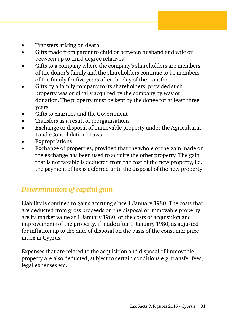- Transfers arising on death<br>• Gifts made from parent to
- Gifts made from parent to child or between husband and wife or between up to third degree relatives
- Gifts to a company where the company's shareholders are members of the donor's family and the shareholders continue to be members of the family for five years after the day of the transfer
- Gifts by a family company to its shareholders, provided such property was originally acquired by the company by way of donation. The property must be kept by the donee for at least three years
- Gifts to charities and the Government
- Transfers as a result of reorganisations
- Exchange or disposal of immovable property under the Agricultural Land (Consolidation) Laws
- **Expropriations**
- Exchange of properties, provided that the whole of the gain made on the exchange has been used to acquire the other property. The gain that is not taxable is deducted from the cost of the new property, i.e. the payment of tax is deferred until the disposal of the new property

# *Determination of capital gain*

Liability is confined to gains accruing since 1 January 1980. The costs that are deducted from gross proceeds on the disposal of immovable property are its market value at 1 January 1980, or the costs of acquisition and improvements of the property, if made after 1 January 1980, as adjusted for inflation up to the date of disposal on the basis of the consumer price index in Cyprus.

Expenses that are related to the acquisition and disposal of immovable property are also deducted, subject to certain conditions e.g. transfer fees, legal expenses etc.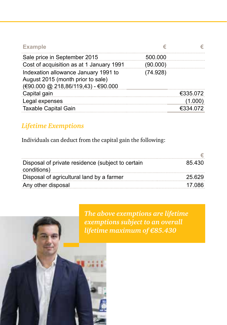| <b>Example</b>                                                                                                   | €        | €        |
|------------------------------------------------------------------------------------------------------------------|----------|----------|
| Sale price in September 2015                                                                                     | 500.000  |          |
| Cost of acquisition as at 1 January 1991                                                                         | (90.000) |          |
| Indexation allowance January 1991 to<br>August 2015 (month prior to sale)<br>(€90.000 @ 218,86/119,43) - €90.000 | (74.928) |          |
| Capital gain                                                                                                     |          | €335.072 |
| Legal expenses                                                                                                   |          | (1.000)  |
| <b>Taxable Capital Gain</b>                                                                                      |          | €334.072 |

# *Lifetime Exemptions*

Individuals can deduct from the capital gain the following:

| Disposal of private residence (subject to certain<br>conditions) | 85.430 |
|------------------------------------------------------------------|--------|
| Disposal of agricultural land by a farmer                        | 25.629 |
| Any other disposal                                               | 17.086 |



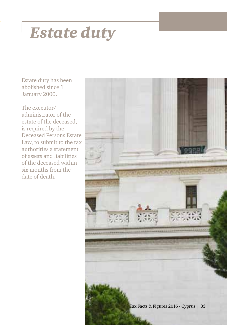# *Estate duty*

Estate duty has been abolished since 1 January 2000.

The executor/ administrator of the estate of the deceased, is required by the Deceased Persons Estate Law, to submit to the tax authorities a statement of assets and liabilities of the deceased within six months from the date of death.

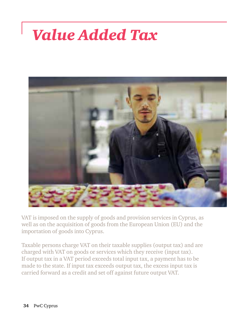# *Value Added Tax*



VAT is imposed on the supply of goods and provision services in Cyprus, as well as on the acquisition of goods from the European Union (EU) and the importation of goods into Cyprus.

Taxable persons charge VAT on their taxable supplies (output tax) and are charged with VAT on goods or services which they receive (input tax). If output tax in a VAT period exceeds total input tax, a payment has to be made to the state. If input tax exceeds output tax, the excess input tax is carried forward as a credit and set off against future output VAT.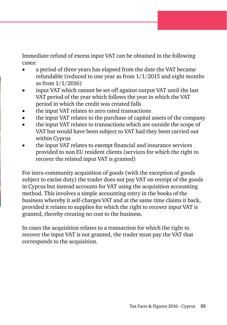Immediate refund of excess input VAT can be obtained in the following cases:

- a period of three years has elapsed from the date the VAT became refundable (reduced to one year as from 1/1/2015 and eight months as from 1/1/2016)
- input VAT which cannot be set off against output VAT until the last VAT period of the year which follows the year in which the VAT period in which the credit was created falls
- the input VAT relates to zero rated transactions
- the input VAT relates to the purchase of capital assets of the company
- the input VAT relates to transactions which are outside the scope of VAT but would have been subject to VAT had they been carried out within Cyprus
- the input VAT relates to exempt financial and insurance services provided to non EU resident clients (services for which the right to recover the related input VAT is granted)

For intra-community acquisition of goods (with the exception of goods subject to excise duty) the trader does not pay VAT on receipt of the goods in Cyprus but instead accounts for VAT using the acquisition accounting method. This involves a simple accounting entry in the books of the business whereby it self-charges VAT and at the same time claims it back, provided it relates to supplies for which the right to recover input VAT is granted, thereby creating no cost to the business.

In cases the acquisition relates to a transaction for which the right to recover the input VAT is not granted, the trader must pay the VAT that corresponds to the acquisition.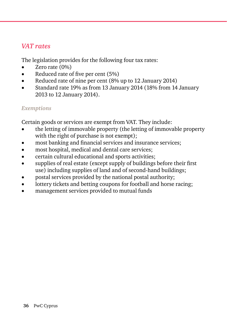## *VAT rates*

The legislation provides for the following four tax rates:

- Zero rate  $(0\%)$ <br>• Reduced rate  $\Omega$
- Reduced rate of five per cent (5%)
- Reduced rate of nine per cent (8% up to 12 January 2014)
- Standard rate 19% as from 13 January 2014 (18% from 14 January 2013 to 12 January 2014).

#### *Exemptions*

Certain goods or services are exempt from VAT. They include:

- the letting of immovable property (the letting of immovable property with the right of purchase is not exempt);
- most banking and financial services and insurance services;
- most hospital, medical and dental care services;
- certain cultural educational and sports activities;
- supplies of real estate (except supply of buildings before their first use) including supplies of land and of second-hand buildings;
- postal services provided by the national postal authority;
- lottery tickets and betting coupons for football and horse racing;
- management services provided to mutual funds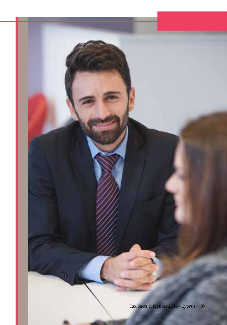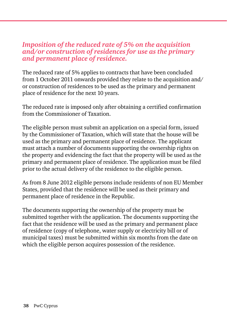#### *Imposition of the reduced rate of 5% on the acquisition and/or construction of residences for use as the primary and permanent place of residence.*

The reduced rate of 5% applies to contracts that have been concluded from 1 October 2011 onwards provided they relate to the acquisition and/ or construction of residences to be used as the primary and permanent place of residence for the next 10 years.

The reduced rate is imposed only after obtaining a certified confirmation from the Commissioner of Taxation.

The eligible person must submit an application on a special form, issued by the Commissioner of Taxation, which will state that the house will be used as the primary and permanent place of residence. The applicant must attach a number of documents supporting the ownership rights on the property and evidencing the fact that the property will be used as the primary and permanent place of residence. The application must be filed prior to the actual delivery of the residence to the eligible person.

As from 8 June 2012 eligible persons include residents of non EU Member States, provided that the residence will be used as their primary and permanent place of residence in the Republic.

The documents supporting the ownership of the property must be submitted together with the application. The documents supporting the fact that the residence will be used as the primary and permanent place of residence (copy of telephone, water supply or electricity bill or of municipal taxes) must be submitted within six months from the date on which the eligible person acquires possession of the residence.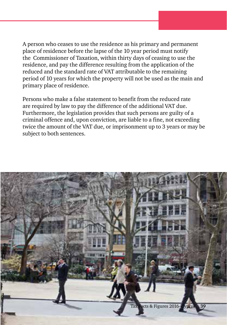A person who ceases to use the residence as his primary and permanent place of residence before the lapse of the 10 year period must notify the Commissioner of Taxation, within thirty days of ceasing to use the residence, and pay the difference resulting from the application of the reduced and the standard rate of VAT attributable to the remaining period of 10 years for which the property will not be used as the main and primary place of residence.

Persons who make a false statement to benefit from the reduced rate are required by law to pay the difference of the additional VAT due. Furthermore, the legislation provides that such persons are guilty of a criminal offence and, upon conviction, are liable to a fine, not exceeding twice the amount of the VAT due, or imprisonment up to 3 years or may be subject to both sentences.

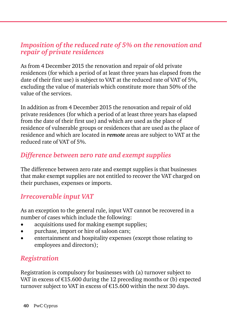### *Imposition of the reduced rate of 5% on the renovation and repair of private residences*

As from 4 December 2015 the renovation and repair of old private residences (for which a period of at least three years has elapsed from the date of their first use) is subject to VAT at the reduced rate of VAT of 5%, excluding the value of materials which constitute more than 50% of the value of the services.

In addition as from 4 December 2015 the renovation and repair of old private residences (for which a period of at least three years has elapsed from the date of their first use) and which are used as the place of residence of vulnerable groups or residences that are used as the place of residence and which are located in *remote* areas are subject to VAT at the reduced rate of VAT of 5%.

## *Difference between zero rate and exempt supplies*

The difference between zero rate and exempt supplies is that businesses that make exempt supplies are not entitled to recover the VAT charged on their purchases, expenses or imports.

## *Irrecoverable input VAT*

As an exception to the general rule, input VAT cannot be recovered in a number of cases which include the following:

- acquisitions used for making exempt supplies;
- purchase, import or hire of saloon cars;
- entertainment and hospitality expenses (except those relating to employees and directors);

# *Registration*

Registration is compulsory for businesses with (a) turnover subject to VAT in excess of  $£15.600$  during the 12 preceding months or (b) expected turnover subject to VAT in excess of €15.600 within the next 30 days.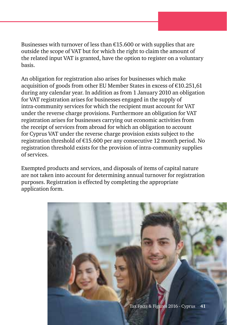Businesses with turnover of less than  $£15.600$  or with supplies that are outside the scope of VAT but for which the right to claim the amount of the related input VAT is granted, have the option to register on a voluntary basis.

An obligation for registration also arises for businesses which make acquisition of goods from other EU Member States in excess of €10.251,61 during any calendar year. In addition as from 1 January 2010 an obligation for VAT registration arises for businesses engaged in the supply of intra-community services for which the recipient must account for VAT under the reverse charge provisions. Furthermore an obligation for VAT registration arises for businesses carrying out economic activities from the receipt of services from abroad for which an obligation to account for Cyprus VAT under the reverse charge provision exists subject to the registration threshold of €15.600 per any consecutive 12 month period. No registration threshold exists for the provision of intra-community supplies of services.

Exempted products and services, and disposals of items of capital nature are not taken into account for determining annual turnover for registration purposes. Registration is effected by completing the appropriate application form.

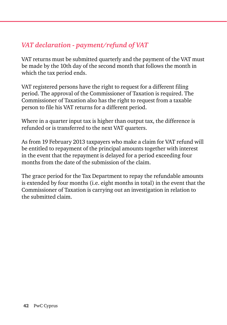# *VAT declaration - payment/refund of VAT*

VAT returns must be submitted quarterly and the payment of the VAT must be made by the 10th day of the second month that follows the month in which the tax period ends.

VAT registered persons have the right to request for a different filing period. The approval of the Commissioner of Taxation is required. The Commissioner of Taxation also has the right to request from a taxable person to file his VAT returns for a different period.

Where in a quarter input tax is higher than output tax, the difference is refunded or is transferred to the next VAT quarters.

As from 19 February 2013 taxpayers who make a claim for VAT refund will be entitled to repayment of the principal amounts together with interest in the event that the repayment is delayed for a period exceeding four months from the date of the submission of the claim.

The grace period for the Tax Department to repay the refundable amounts is extended by four months (i.e. eight months in total) in the event that the Commissioner of Taxation is carrying out an investigation in relation to the submitted claim.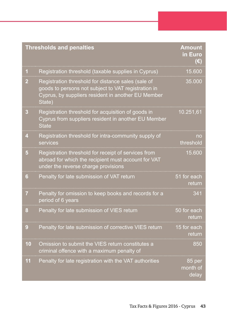| <b>Thresholds and penalties</b> | <b>Amount</b><br>in Euro<br>$(\epsilon)$                                                                                                                                  |                             |
|---------------------------------|---------------------------------------------------------------------------------------------------------------------------------------------------------------------------|-----------------------------|
| 1                               | Registration threshold (taxable supplies in Cyprus)                                                                                                                       | 15.600                      |
| $\overline{2}$                  | Registration threshold for distance sales (sale of<br>goods to persons not subject to VAT registration in<br>Cyprus, by suppliers resident in another EU Member<br>State) | 35.000                      |
| 3                               | Registration threshold for acquisition of goods in<br>Cyprus from suppliers resident in another EU Member<br><b>State</b>                                                 | 10.251,61                   |
| 4                               | Registration threshold for intra-community supply of<br>services                                                                                                          | no<br>threshold             |
| 5                               | Registration threshold for receipt of services from<br>abroad for which the recipient must account for VAT<br>under the reverse charge provisions                         | 15.600                      |
| 6                               | Penalty for late submission of VAT return                                                                                                                                 | 51 for each<br>return       |
| $\overline{7}$                  | Penalty for omission to keep books and records for a<br>period of 6 years                                                                                                 | 341                         |
| 8                               | Penalty for late submission of VIES return                                                                                                                                | 50 for each<br>return       |
| 9                               | Penalty for late submission of corrective VIES return                                                                                                                     | 15 for each<br>return       |
| 10                              | Omission to submit the VIES return constitutes a<br>criminal offence with a maximum penalty of                                                                            | 850                         |
| 11                              | Penalty for late registration with the VAT authorities                                                                                                                    | 85 per<br>month of<br>delay |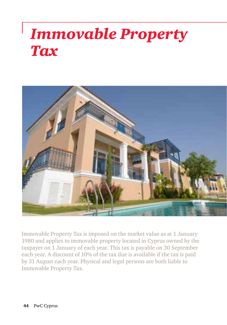# *Immovable Property Tax*



Immovable Property Tax is imposed on the market value as at 1 January 1980 and applies to immovable property located in Cyprus owned by the taxpayer on 1 January of each year. This tax is payable on 30 September each year. A discount of 10% of the tax due is available if the tax is paid by 31 August each year. Physical and legal persons are both liable to Immovable Property Tax.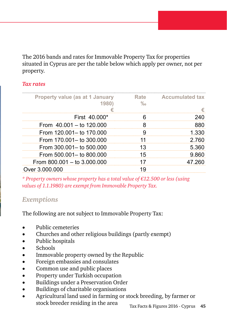The 2016 bands and rates for Immovable Property Tax for properties situated in Cyprus are per the table below which apply per owner, not per property.

#### *Tax rates*

| Property value (as at 1 January<br>1980 | Rate Accumulated tax |
|-----------------------------------------|----------------------|
|                                         |                      |
| First 40.000*                           |                      |
| From $40.001 -$ to 120,000              |                      |
| From 120,001- to 170,000                | 1 330                |
| From 170,001- to 300,000                | 2 761                |
| From 300.001- to 500.000                | 536                  |
| From 500,001- to 800,000                | 9.86                 |
| From 800.001 - to 3.000.000             | A7 96                |
| Over 3,000,000                          |                      |

*\* Property owners whose property has a total value of €12.500 or less (using values of 1.1.1980) are exempt from Immovable Property Tax.*

#### *Exemptions*

The following are not subject to Immovable Property Tax:

- Public cemeteries
- Churches and other religious buildings (partly exempt)
- Public hospitals
- Schools
- Immovable property owned by the Republic
- Foreign embassies and consulates
- Common use and public places
- Property under Turkish occupation
- Buildings under a Preservation Order
- Buildings of charitable organisations
- Agricultural land used in farming or stock breeding, by farmer or stock breeder residing in the area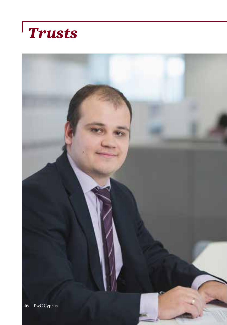

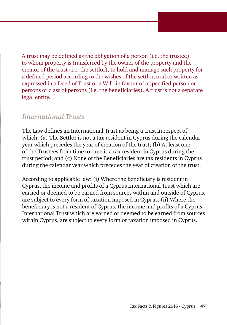A trust may be defined as the obligation of a person (i.e. the trustee) to whom property is transferred by the owner of the property and the creator of the trust (i.e. the settlor), to hold and manage such property for a defined period according to the wishes of the settlor, oral or written as expressed in a Deed of Trust or a Will, in favour of a specified person or persons or class of persons (i.e. the beneficiaries). A trust is not a separate legal entity.

### *International Trusts*

The Law defines an International Trust as being a trust in respect of which: (a) The Settlor is not a tax resident in Cyprus during the calendar year which precedes the year of creation of the trust; (b) At least one of the Trustees from time to time is a tax resident in Cyprus during the trust period; and (c) None of the Beneficiaries are tax residents in Cyprus during the calendar year which precedes the year of creation of the trust.

According to applicable law: (i) Where the beneficiary is resident in Cyprus, the income and profits of a Cyprus International Trust which are earned or deemed to be earned from sources within and outside of Cyprus, are subject to every form of taxation imposed in Cyprus. (ii) Where the beneficiary is not a resident of Cyprus, the income and profits of a Cyprus International Trust which are earned or deemed to be earned from sources within Cyprus, are subject to every form or taxation imposed in Cyprus.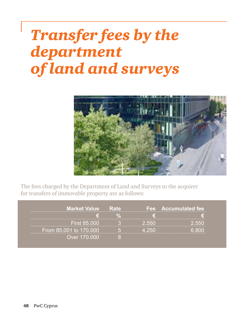# *Transfer fees by the department of land and surveys*



The fees charged by the Department of Land and Surveys to the acquirer for transfers of immovable property are as follows:

| Market Value           |   | -ee | Accumulated |
|------------------------|---|-----|-------------|
|                        |   |     |             |
| <b>First 85 000</b>    |   |     |             |
| From 85,001 to 170,000 |   |     |             |
| Over 170,000           | w |     |             |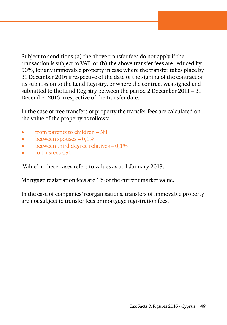Subject to conditions (a) the above transfer fees do not apply if the transaction is subject to VAT, or (b) the above transfer fees are reduced by 50%, for any immovable property in case where the transfer takes place by 31 December 2016 irrespective of the date of the signing of the contract or its submission to the Land Registry, or where the contract was signed and submitted to the Land Registry between the period 2 December 2011 – 31 December 2016 irrespective of the transfer date.

In the case of free transfers of property the transfer fees are calculated on the value of the property as follows:

- from parents to children Nil
- between spouses 0,1%
- between third degree relatives 0,1%
- to trustees €50

'Value' in these cases refers to values as at 1 January 2013.

Mortgage registration fees are 1% of the current market value.

In the case of companies' reorganisations, transfers of immovable property are not subject to transfer fees or mortgage registration fees.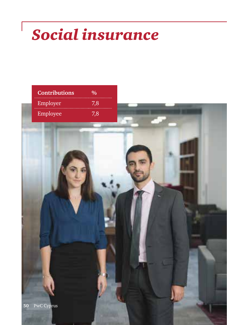# *Social insurance*

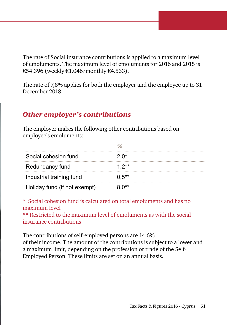The rate of Social insurance contributions is applied to a maximum level of emoluments. The maximum level of emoluments for 2016 and 2015 is €54.396 (weekly €1.046/monthly €4.533).

The rate of 7,8% applies for both the employer and the employee up to 31 December 2018.

# *Other employer's contributions*

The employer makes the following other contributions based on employee's emoluments:

|                              | ℅        |
|------------------------------|----------|
| Social cohesion fund         | $2.0*$   |
| Redundancy fund              | $1.2***$ |
| Industrial training fund     | $0.5***$ |
| Holiday fund (if not exempt) | 8 በ**    |

\* Social cohesion fund is calculated on total emoluments and has no maximum level

\*\* Restricted to the maximum level of emoluments as with the social insurance contributions

The contributions of self-employed persons are 14,6% of their income. The amount of the contributions is subject to a lower and a maximum limit, depending on the profession or trade of the Self-Employed Person. These limits are set on an annual basis.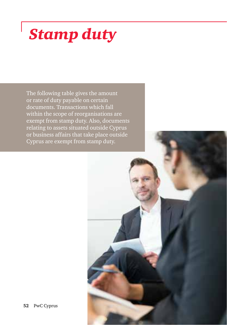# *Stamp duty*

The following table gives the amount or rate of duty payable on certain documents. Transactions which fall within the scope of reorganisations are exempt from stamp duty. Also, documents relating to assets situated outside Cyprus or business affairs that take place outside Cyprus are exempt from stamp duty.

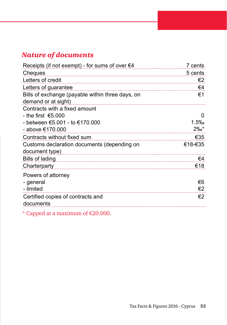# *Nature of documents*

| Receipts (if not exempt) - for sums of over $\epsilon$ 4 | 7 cents |
|----------------------------------------------------------|---------|
| Cheques                                                  | 5 cents |
| Letters of credit                                        | €2      |
| Letters of quarantee                                     | €4      |
| Bills of exchange (payable within three days, on         | €1      |
| demand or at sight)                                      |         |
| Contracts with a fixed amount                            |         |
| - the first $€5.000$                                     | n       |
| - between €5.001 - to €170.000                           | 1.5%    |
| - above €170.000                                         | $2%^*$  |
| Contracts without fixed sum                              | €35     |
| Customs declaration documents (depending on              | €18-€35 |
| document type)                                           |         |
| Bills of lading                                          | €4      |
| Charterparty                                             | €18     |
| Powers of attorney                                       |         |
| - general                                                | €6      |
| - limited                                                | €2      |
| Certified copies of contracts and<br>documents           | €2      |
|                                                          |         |

 $^*$  Capped at a maximum of  $\mathcal{E}20.000$ .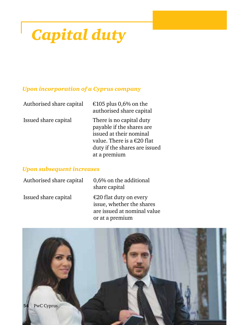# *Capital duty*

### *Upon incorporation of a Cyprus company*

| Authorised share capital | €105 plus 0,6% on the<br>authorised share capital                                                                                                                 |
|--------------------------|-------------------------------------------------------------------------------------------------------------------------------------------------------------------|
| Issued share capital     | There is no capital duty<br>payable if the shares are<br>issued at their nominal<br>value. There is a $£20$ flat<br>duty if the shares are issued<br>at a premium |

### *Upon subsequent increases*

| Authorised share capital | 0,6% on the additional<br>share capital                                                               |
|--------------------------|-------------------------------------------------------------------------------------------------------|
| Issued share capital     | €20 flat duty on every<br>issue, whether the shares<br>are issued at nominal value<br>or at a premium |

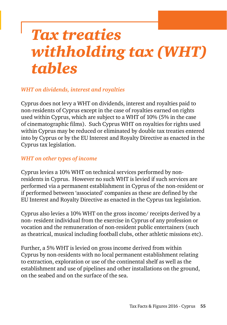# *Tax treaties withholding tax (WHT) tables*

#### *WHT on dividends, interest and royalties*

Cyprus does not levy a WHT on dividends, interest and royalties paid to non-residents of Cyprus except in the case of royalties earned on rights used within Cyprus, which are subject to a WHT of 10% (5% in the case of cinematographic films). Such Cyprus WHT on royalties for rights used within Cyprus may be reduced or eliminated by double tax treaties entered into by Cyprus or by the EU Interest and Royalty Directive as enacted in the Cyprus tax legislation.

#### *WHT on other types of income*

Cyprus levies a 10% WHT on technical services performed by nonresidents in Cyprus. However no such WHT is levied if such services are performed via a permanent establishment in Cyprus of the non-resident or if performed between 'associated' companies as these are defined by the EU Interest and Royalty Directive as enacted in the Cyprus tax legislation.

Cyprus also levies a 10% WHT on the gross income/ receipts derived by a non- resident individual from the exercise in Cyprus of any profession or vocation and the remuneration of non-resident public entertainers (such as theatrical, musical including football clubs, other athletic missions etc).

Further, a 5% WHT is levied on gross income derived from within Cyprus by non-residents with no local permanent establishment relating to extraction, exploration or use of the continental shelf as well as the establishment and use of pipelines and other installations on the ground, on the seabed and on the surface of the sea.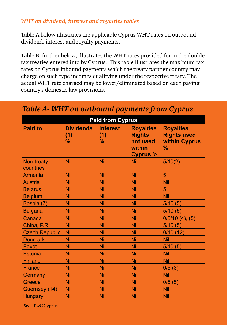#### *WHT on dividend, interest and royalties tables*

Table A below illustrates the applicable Cyprus WHT rates on outbound dividend, interest and royalty payments.

Table B, further below, illustrates the WHT rates provided for in the double tax treaties entered into by Cyprus. This table illustrates the maximum tax rates on Cyprus inbound payments which the treaty partner country may charge on such type incomes qualifying under the respective treaty. The actual WHT rate charged may be lower/eliminated based on each paying country's domestic law provisions.

# *Table A- WHT on outbound payments from Cyprus*

|                         |                              | <b>Paid from Cyprus</b>     |                                                                     |                                                              |
|-------------------------|------------------------------|-----------------------------|---------------------------------------------------------------------|--------------------------------------------------------------|
| Paid to                 | <b>Dividends</b><br>(1)<br>% | <b>Interest</b><br>(1)<br>% | <b>Royalties</b><br><b>Rights</b><br>not used<br>within<br>Cyprus % | <b>Royalties</b><br><b>Rights used</b><br>within Cyprus<br>% |
| Non-treaty<br>countries | Nil                          | Nil                         | Nil                                                                 | 5/10(2)                                                      |
| <b>Armenia</b>          | Nil                          | Nil                         | Nil                                                                 | 5                                                            |
| Austria                 | Nil                          | Nil                         | Nil                                                                 | Nil                                                          |
| <b>Belarus</b>          | Nil                          | Nil                         | Nil                                                                 | 5                                                            |
| <b>Belgium</b>          | Nil                          | Nil                         | Nil                                                                 | Nil                                                          |
| Bosnia (7)              | Nil                          | Nil                         | Nil                                                                 | 5/10(5)                                                      |
| <b>Bulgaria</b>         | Nil                          | Nil                         | Nil                                                                 | 5/10(5)                                                      |
| Canada                  | Nil                          | Nil                         | Nil                                                                 | 0/5/10(4), (5)                                               |
| China, P.R.             | Nil                          | Nil                         | Nil                                                                 | 5/10(5)                                                      |
| <b>Czech Republic</b>   | Nil                          | Nil                         | Nil                                                                 | 0/10(12)                                                     |
| <b>Denmark</b>          | Nil                          | Nil                         | Nil                                                                 | Nil                                                          |
| Egypt                   | Nil                          | Nil                         | Nil                                                                 | 5/10(5)                                                      |
| <b>Estonia</b>          | Nil                          | Nil                         | Nil                                                                 | Nil                                                          |
| <b>Finland</b>          | Nil                          | Nil                         | Nil                                                                 | Nil                                                          |
| France                  | Nil                          | Nil                         | Nil                                                                 | 0/5(3)                                                       |
| <b>Germany</b>          | Nil                          | Nil                         | Nil                                                                 | Nil                                                          |
| Greece                  | Nil                          | Nil                         | Nil                                                                 | 0/5(5)                                                       |
| Guernsey (14)           | Nil                          | Nil                         | Nil                                                                 | Nil                                                          |
| <b>Hungary</b>          | Nil                          | Nil                         | Nil                                                                 | Nil                                                          |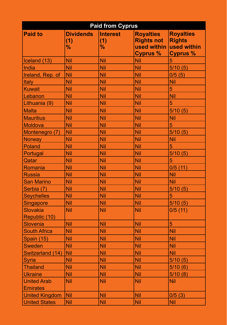| <b>Paid from Cyprus</b> |                              |                                         |                                                                         |                                                                     |  |
|-------------------------|------------------------------|-----------------------------------------|-------------------------------------------------------------------------|---------------------------------------------------------------------|--|
| <b>Paid to</b>          | <b>Dividends</b><br>(1)<br>% | <b>Interest</b><br>(1)<br>$\frac{9}{6}$ | <b>Royalties</b><br><b>Rights not</b><br>used within<br><b>Cyprus</b> % | <b>Royalties</b><br><b>Rights</b><br>used within<br><b>Cyprus %</b> |  |
| Iceland (13)            | Nil                          | Nil                                     | Nil                                                                     | 5                                                                   |  |
| India                   | Nil                          | Nil                                     | Nil                                                                     | 5/10(5)                                                             |  |
| Ireland, Rep. of        | Nil                          | Nil                                     | Nil                                                                     | 0/5(5)                                                              |  |
| Italy                   | Nil                          | Nil                                     | Nil                                                                     | Nil                                                                 |  |
| <b>Kuwait</b>           | Nil                          | Nil                                     | Nil                                                                     | 5                                                                   |  |
| Lebanon                 | Nil                          | Nil                                     | Nil                                                                     | Nil                                                                 |  |
| Lithuania (9)           | Nil                          | Nil                                     | Nil                                                                     | 5                                                                   |  |
| <b>Malta</b>            | Nil                          | Nil                                     | Nil                                                                     | 5/10(5)                                                             |  |
| <b>Mauritius</b>        | Nil                          | Nil                                     | Nil                                                                     | Nil                                                                 |  |
| <b>Moldova</b>          | Nil                          | Nil                                     | Nil                                                                     | 5                                                                   |  |
| Montenegro (7)          | Nil                          | Nil                                     | Nil                                                                     | 5/10(5)                                                             |  |
| <b>Norway</b>           | Nil                          | Nil                                     | Nil                                                                     | Nil                                                                 |  |
| Poland                  | Nil                          | Nil                                     | Nil                                                                     | 5                                                                   |  |
| Portugal                | Nil                          | Nil                                     | Nil                                                                     | 5/10(5)                                                             |  |
| Qatar                   | Nil                          | Nil                                     | Nil                                                                     | 5                                                                   |  |
| Romania                 | Nil                          | Nil                                     | Nil                                                                     | 0/5(11)                                                             |  |
| <b>Russia</b>           | Nil                          | Nil                                     | Nil                                                                     | Nil                                                                 |  |
| <b>San Marino</b>       | Nil                          | Nil                                     | Nil                                                                     | Nil                                                                 |  |
| Serbia (7)              | Nil                          | Nil                                     | Nil                                                                     | 5/10(5)                                                             |  |
| <b>Seychelles</b>       | Nil                          | Nil                                     | Nil                                                                     | 5                                                                   |  |
| <b>Singapore</b>        | Nil                          | Nil                                     | Nil                                                                     | 5/10(5)                                                             |  |
| Slovakia                | Nil                          | Nil                                     | Nil                                                                     | 0/5(11)                                                             |  |
| Republic (10)           |                              |                                         |                                                                         |                                                                     |  |
| Slovenia                | Nil                          | Nil                                     | Nil                                                                     | 5                                                                   |  |
| <b>South Africa</b>     | Nil                          | Nil                                     | Nil                                                                     | Nil                                                                 |  |
| Spain (15)              | Nil                          | Nil                                     | Nil                                                                     | Nil                                                                 |  |
| <b>Sweden</b>           | Nil                          | Nil                                     | Nil                                                                     | Nil                                                                 |  |
| Switzerland (14)        | Nil                          | Nil                                     | Nil                                                                     | Nil                                                                 |  |
| Syria                   | Nil                          | Nil                                     | Nil                                                                     | 5/10(5)                                                             |  |
| <b>Thailand</b>         | Nil                          | Nil                                     | Nil                                                                     | 5/10(6)                                                             |  |
| <b>Ukraine</b>          | Nil                          | Nil                                     | Nil                                                                     | 5/10(8)                                                             |  |
| <b>United Arab</b>      | Nil                          | Nil                                     | Nil                                                                     | Nil                                                                 |  |
| <b>Emirates</b>         |                              |                                         |                                                                         |                                                                     |  |
| <b>United Kingdom</b>   | Nil                          | Nil                                     | Nil                                                                     | 0/5(3)                                                              |  |
| <b>United States</b>    | Nil                          | Nil                                     | Nil                                                                     | Nil                                                                 |  |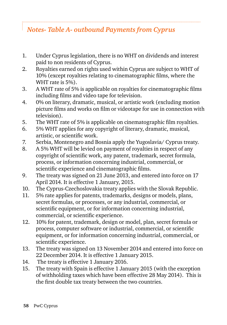# *Notes- Table A- outbound Payments from Cyprus*

- 1. Under Cyprus legislation, there is no WHT on dividends and interest paid to non residents of Cyprus.
- 2. Royalties earned on rights used within Cyprus are subject to WHT of 10% (except royalties relating to cinematographic films, where the WHT rate is 5%).
- 3. A WHT rate of 5% is applicable on royalties for cinematographic films including films and video tape for television.
- 4. 0% on literary, dramatic, musical, or artistic work (excluding motion picture films and works on film or videotape for use in connection with television).
- 5. The WHT rate of 5% is applicable on cinematographic film royalties.<br>6. 5% WHT applies for any convright of literary dramatic musical
- 6. 5% WHT applies for any copyright of literary, dramatic, musical, artistic, or scientific work.
- 7. Serbia, Montenegro and Bosnia apply the Yugoslavia/ Cyprus treaty.
- 8. A 5% WHT will be levied on payment of royalties in respect of any copyright of scientific work, any patent, trademark, secret formula, process, or information concerning industrial, commercial, or scientific experience and cinematographic films.
- 9. The treaty was signed on 21 June 2013, and entered into force on 17 April 2014. It is effective 1 January, 2015.
- 10. The Cyprus-Czechoslovakia treaty applies with the Slovak Republic.
- 11. 5% rate applies for patents, trademarks, designs or models, plans, secret formulas, or processes, or any industrial, commercial, or scientific equipment, or for information concerning industrial, commercial, or scientific experience.
- 12. 10% for patent, trademark, design or model, plan, secret formula or process, computer software or industrial, commercial, or scientific equipment, or for information concerning industrial, commercial, or scientific experience.
- 13. The treaty was signed on 13 November 2014 and entered into force on 22 December 2014. It is effective 1 January 2015.
- 14. The treaty is effective 1 January 2016.
- 15. The treaty with Spain is effective 1 January 2015 (with the exception of withholding taxes which have been effective 28 May 2014). This is the first double tax treaty between the two countries.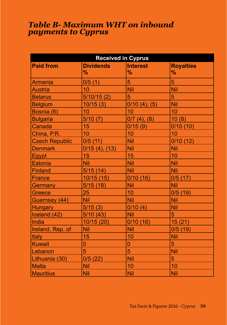## *Table B- Maximum WHT on inbound payments to Cyprus*

| <b>Received in Cyprus</b>                                                   |                    |                |          |  |  |  |
|-----------------------------------------------------------------------------|--------------------|----------------|----------|--|--|--|
| <b>Dividends</b><br><b>Interest</b><br><b>Paid from</b><br><b>Royalties</b> |                    |                |          |  |  |  |
|                                                                             | $\%$               | $\%$           | %        |  |  |  |
| <b>Armenia</b>                                                              | 0/5(1)             | 5              | 5        |  |  |  |
| Austria                                                                     | 10                 | Nil            | Nil      |  |  |  |
| <b>Belarus</b>                                                              | 5/10/15(2)         | 5              | 5        |  |  |  |
| <b>Belgium</b>                                                              | 10/15(3)           | 0/10(4), (5)   | Nil      |  |  |  |
| Bosnia (6)                                                                  | 10                 | 10             | 10       |  |  |  |
| <b>Bulgaria</b>                                                             | 5/10(7)            | $0/7$ (4), (8) | 10(8)    |  |  |  |
| Canada                                                                      | 15                 | 0/15(9)        | 0/10(10) |  |  |  |
| China, P.R.                                                                 | 10                 | 10             | 10       |  |  |  |
| <b>Czech Republic</b>                                                       | 0/5(11)            | Nil            | 0/10(12) |  |  |  |
| <b>Denmark</b>                                                              | $0/15(4)$ , $(13)$ | Nil            | Nil      |  |  |  |
| Egypt                                                                       | 15                 | 15             | 10       |  |  |  |
| <b>Estonia</b>                                                              | Nil                | Nil            | Nil      |  |  |  |
| <b>Finland</b>                                                              | 5/15(14)           | Nil            | Nil      |  |  |  |
| France                                                                      | 10/15(15)          | 0/10(16)       | 0/5(17)  |  |  |  |
| Germany                                                                     | 5/15(18)           | Nil            | Nil      |  |  |  |
| Greece                                                                      | 25                 | 10             | 0/5(19)  |  |  |  |
| Guernsey (44)                                                               | Nil                | Nil            | Nil      |  |  |  |
| <b>Hungary</b>                                                              | 5/15(3)            | 0/10(4)        | Nil      |  |  |  |
| Iceland (42)                                                                | 5/10(43)           | Nil            | 5        |  |  |  |
| India                                                                       | 10/15 (20)         | 0/10(16)       | 15(21)   |  |  |  |
| Ireland, Rep. of                                                            | Nil                | Nil            | 0/5(19)  |  |  |  |
| Italy                                                                       | 15                 | 10             | Nil      |  |  |  |
| <b>Kuwait</b>                                                               | $\overline{0}$     | $\overline{0}$ | 5        |  |  |  |
| Lebanon                                                                     | 5                  | 5              | Nil      |  |  |  |
| Lithuania (30)                                                              | 0/5(22)            | Nil            | 5        |  |  |  |
| <b>Malta</b>                                                                | Nil                | 10             | 10       |  |  |  |
| <b>Mauritius</b>                                                            | Nil                | Nil            | Nil      |  |  |  |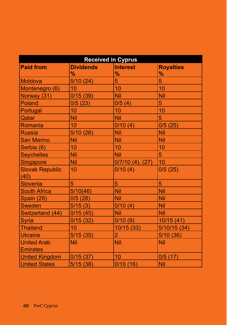| <b>Received in Cyprus</b>             |                       |                                  |                       |  |  |
|---------------------------------------|-----------------------|----------------------------------|-----------------------|--|--|
| <b>Paid from</b>                      | <b>Dividends</b><br>% | <b>Interest</b><br>$\frac{9}{6}$ | <b>Royalties</b><br>% |  |  |
| Moldova                               | 5/10(24)              | 5                                | 5                     |  |  |
| Montenegro (6)                        | 10                    | 10                               | 10                    |  |  |
| Norway (31)                           | 0/15(39)              | Nil                              | Nil                   |  |  |
| Poland                                | 0/5(23)               | 0/5(4)                           | 5                     |  |  |
| Portugal                              | 10                    | 10                               | 10                    |  |  |
| Qatar                                 | Nil                   | Nil                              | 5                     |  |  |
| Romania                               | 10                    | 0/10(4)                          | 0/5(25)               |  |  |
| <b>Russia</b>                         | 5/10(26)              | Nil                              | Nil                   |  |  |
| <b>San Marino</b>                     | Nil                   | Nil                              | Nil                   |  |  |
| Serbia (6)                            | 10                    | 10                               | 10                    |  |  |
| <b>Seychelles</b>                     | Nil                   | Nil                              | 5                     |  |  |
| <b>Singapore</b>                      | Nil                   | 0/7/10(4), (27)                  | 10                    |  |  |
| <b>Slovak Republic</b><br>(40)        | 10                    | 0/10(4)                          | 0/5(25)               |  |  |
| Slovenia                              | 5                     | 5                                | 5                     |  |  |
| <b>South Africa</b>                   | 5/10(46)              | Nil                              | Nil                   |  |  |
| <b>Spain (29)</b>                     | 0/5(28)               | Nil                              | Nil                   |  |  |
| <b>Sweden</b>                         | 5/15(3)               | 0/10(4)                          | Nil                   |  |  |
| Switzerland (44)                      | 0/15(45)              | Nil                              | Nil                   |  |  |
| Syria                                 | 0/15(32)              | 0/10(9)                          | 10/15(41)             |  |  |
| <b>Thailand</b>                       | 10                    | 10/15(33)                        | 5/10/15(34)           |  |  |
| <b>Ukraine</b>                        | 5/15(35)              | $\overline{2}$                   | 5/10(36)              |  |  |
| <b>United Arab</b><br><b>Emirates</b> | Nil                   | Nil                              | Nil                   |  |  |
| <b>United Kingdom</b>                 | 0/15(37)              | 10                               | 0/5(17)               |  |  |
| <b>United States</b>                  | 5/15(38)              | 0/10(16)                         | Nil                   |  |  |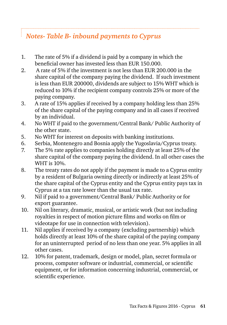# *Notes- Table B- inbound payments to Cyprus*

- 1. The rate of 5% if a dividend is paid by a company in which the beneficial owner has invested less than EUR 150.000.
- 2. A rate of 5% if the investment is not less than EUR 200.000 in the share capital of the company paying the dividend. If such investment is less than EUR 200000, dividends are subject to 15% WHT which is reduced to 10% if the recipient company controls 25% or more of the paying company.
- 3. A rate of 15% applies if received by a company holding less than 25% of the share capital of the paying company and in all cases if received by an individual.
- 4. No WHT if paid to the government/Central Bank/ Public Authority of the other state.
- 5. No WHT for interest on deposits with banking institutions.
- 6. Serbia, Montenegro and Bosnia apply the Yugoslavia/Cyprus treaty.
- The 5% rate applies to companies holding directly at least 25% of the share capital of the company paying the dividend. In all other cases the WHT is 10%.
- 8. The treaty rates do not apply if the payment is made to a Cyprus entity by a resident of Bulgaria owning directly or indirectly at least 25% of the share capital of the Cyprus entity and the Cyprus entity pays tax in Cyprus at a tax rate lower than the usual tax rate.
- 9. Nil if paid to a government/Central Bank/ Public Authority or for export guarantee.
- 10. Nil on literary, dramatic, musical, or artistic work (but not including royalties in respect of motion picture films and works on film or videotape for use in connection with television).
- 11. Nil applies if received by a company (excluding partnership) which holds directly at least 10% of the share capital of the paying company for an uninterrupted period of no less than one year. 5% applies in all other cases.
- 12. 10% for patent, trademark, design or model, plan, secret formula or process, computer software or industrial, commercial, or scientific equipment, or for information concerning industrial, commercial, or scientific experience.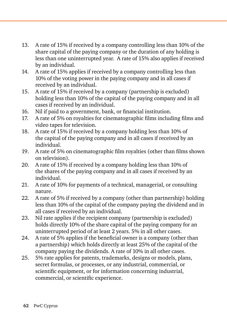- 13. A rate of 15% if received by a company controlling less than 10% of the share capital of the paying company or the duration of any holding is less than one uninterrupted year. A rate of 15% also applies if received by an individual.
- 14. A rate of 15% applies if received by a company controlling less than 10% of the voting power in the paying company and in all cases if received by an individual.
- 15. A rate of 15% if received by a company (partnership is excluded) holding less than 10% of the capital of the paying company and in all cases if received by an individual.
- 16. Nil if paid to a government, bank, or financial institution.
- 17. A rate of 5% on royalties for cinematographic films including films and video tapes for television.
- 18. A rate of 15% if received by a company holding less than 10% of the capital of the paying company and in all cases if received by an individual.
- 19. A rate of 5% on cinematographic film royalties (other than films shown on television).
- 20. A rate of 15% if received by a company holding less than 10% of the shares of the paying company and in all cases if received by an individual.
- 21. A rate of 10% for payments of a technical, managerial, or consulting nature.
- 22. A rate of 5% if received by a company (other than partnership) holding less than 10% of the capital of the company paying the dividend and in all cases if received by an individual.
- 23. Nil rate applies if the recipient company (partnership is excluded) holds directly 10% of the share capital of the paying company for an uninterrupted period of at least 2 years. 5% in all other cases.
- 24. A rate of 5% applies if the beneficial owner is a company (other than a partnership) which holds directly at least 25% of the capital of the company paying the dividends. A rate of 10% in all other cases.
- 25. 5% rate applies for patents, trademarks, designs or models, plans, secret formulas, or processes, or any industrial, commercial, or scientific equipment, or for information concerning industrial, commercial, or scientific experience.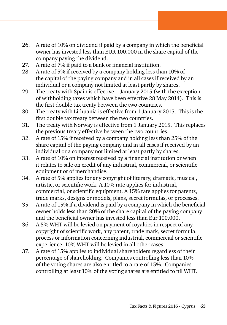- 26. A rate of 10% on dividend if paid by a company in which the beneficial owner has invested less than EUR 100.000 in the share capital of the company paying the dividend.
- 27. A rate of 7% if paid to a bank or financial institution.<br>28. A rate of 5% if received by a company holding less the
- A rate of 5% if received by a company holding less than 10% of the capital of the paying company and in all cases if received by an individual or a company not limited at least partly by shares.
- 29. The treaty with Spain is effective 1 January 2015 (with the exception of withholding taxes which have been effective 28 May 2014). This is the first double tax treaty between the two countries.
- 30. The treaty with Lithuania is effective from 1 January 2015. This is the first double tax treaty between the two countries.
- 31. The treaty with Norway is effective from 1 January 2015. This replaces the previous treaty effective between the two countries.
- 32. A rate of 15% if received by a company holding less than 25% of the share capital of the paying company and in all cases if received by an individual or a company not limited at least partly by shares.
- 33. A rate of 10% on interest received by a financial institution or when it relates to sale on credit of any industrial, commercial, or scientific equipment or of merchandise.
- 34. A rate of 5% applies for any copyright of literary, dramatic, musical, artistic, or scientific work. A 10% rate applies for industrial, commercial, or scientific equipment. A 15% rate applies for patents, trade marks, designs or models, plans, secret formulas, or processes.
- 35. A rate of 15% if a dividend is paid by a company in which the beneficial owner holds less than 20% of the share capital of the paying company and the beneficial owner has invested less than Eur 100.000.
- 36. A 5% WHT will be levied on payment of royalties in respect of any copyright of scientific work, any patent, trade mark, secret formula, process or information concerning industrial, commercial or scientific experience. 10% WHT will be levied in all other cases.
- 37. A rate of 15% applies to individual shareholders regardless of their percentage of shareholding. Companies controlling less than 10% of the voting shares are also entitled to a rate of 15%. Companies controlling at least 10% of the voting shares are entitled to nil WHT.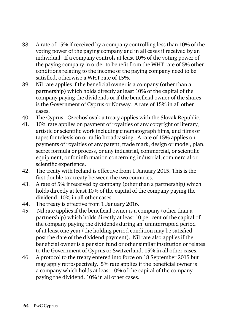- 38. A rate of 15% if received by a company controlling less than 10% of the voting power of the paying company and in all cases if received by an individual. If a company controls at least 10% of the voting power of the paying company in order to benefit from the WHT rate of 5% other conditions relating to the income of the paying company need to be satisfied, otherwise a WHT rate of 15%.
- 39. Nil rate applies if the beneficial owner is a company (other than a partnership) which holds directly at least 10% of the capital of the company paying the dividends or if the beneficial owner of the shares is the Government of Cyprus or Norway. A rate of 15% in all other cases.
- 40. The Cyprus Czechoslovakia treaty applies with the Slovak Republic.
- 41. 10% rate applies on payment of royalties of any copyright of literary, artistic or scientific work including cinematograph films, and films or tapes for television or radio broadcasting. A rate of 15% applies on payments of royalties of any patent, trade mark, design or model, plan, secret formula or process, or any industrial, commercial, or scientific equipment, or for information concerning industrial, commercial or scientific experience.
- 42. The treaty with Iceland is effective from 1 January 2015. This is the first double tax treaty between the two countries.
- 43. A rate of 5% if received by company (other than a partnership) which holds directly at least 10% of the capital of the company paying the dividend. 10% in all other cases.
- 44. The treaty is effective from 1 January 2016.
- 45. Nil rate applies if the beneficial owner is a company (other than a partnership) which holds directly at least 10 per cent of the capital of the company paying the dividends during an uninterrupted period of at least one year (the holding period condition may be satisfied post the date of the dividend payment). Nil rate also applies if the beneficial owner is a pension fund or other similar institution or relates to the Government of Cyprus or Switzerland. 15% in all other cases.
- 46. A protocol to the treaty entered into force on 18 September 2015 but may apply retrospectively. 5% rate applies if the beneficial owner is a company which holds at least 10% of the capital of the company paying the dividend. 10% in all other cases.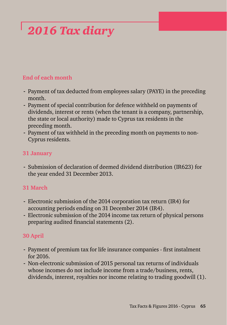# *2016 Tax diary*

#### **End of each month**

- Payment of tax deducted from employees salary (PAYE) in the preceding month.
- Payment of special contribution for defence withheld on payments of dividends, interest or rents (when the tenant is a company, partnership, the state or local authority) made to Cyprus tax residents in the preceding month.
- Payment of tax withheld in the preceding month on payments to non-Cyprus residents.

#### **31 January**

- Submission of declaration of deemed dividend distribution (IR623) for the year ended 31 December 2013.

#### **31 March**

- Electronic submission of the 2014 corporation tax return (IR4) for accounting periods ending on 31 December 2014 (IR4).
- Electronic submission of the 2014 income tax return of physical persons preparing audited financial statements (2).

#### **30 April**

- Payment of premium tax for life insurance companies first instalment for 2016.
- Non-electronic submission of 2015 personal tax returns of individuals whose incomes do not include income from a trade/business, rents, dividends, interest, royalties nor income relating to trading goodwill (1).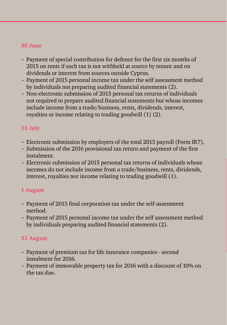#### **30 June**

- Payment of special contribution for defence for the first six months of 2015 on rents if such tax is not withheld at source by tenant and on dividends or interest from sources outside Cyprus.
- Payment of 2015 personal income tax under the self assessment method by individuals not preparing audited financial statements (2).
- Non-electronic submission of 2015 personal tax returns of individuals not required to prepare audited financial statements but whose incomes include income from a trade/business, rents, dividends, interest, royalties or income relating to trading goodwill (1) (2).

#### **31 July**

- Electronic submission by employers of the total 2015 payroll (Form IR7).
- Submission of the 2016 provisional tax return and payment of the first instalment.
- Electronic submission of 2015 personal tax returns of individuals whose incomes do not include income from a trade/business, rents, dividends, interest, royalties nor income relating to trading goodwill (1).

#### **1 August**

- Payment of 2015 final corporation tax under the self-assessment method.
- Payment of 2015 personal income tax under the self assessment method by individuals preparing audited financial statements (2).

#### **31 August**

- Payment of premium tax for life insurance companies second instalment for 2016.
- Payment of immovable property tax for 2016 with a discount of 10% on the tax due.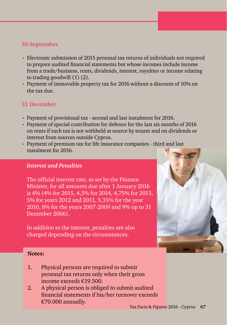#### **30 September**

- Electronic submission of 2015 personal tax returns of individuals not required to prepare audited financial statements but whose incomes include income from a trade/business, rents, dividends, interest, royalties or income relating to trading goodwill (1) (2).
- Payment of immovable property tax for 2016 without a discount of 10% on the tax due.

#### **31 December**

- Payment of provisional tax second and last instalment for 2016.
- Payment of special contribution for defence for the last six months of 2016 on rents if such tax is not withheld at source by tenant and on dividends or interest from sources outside Cyprus.
- Payment of premium tax for life insurance companies third and last instalment for 2016.

#### *Interest and Penalties*

The official interest rate, as set by the Finance Minister, for all amounts due after 1 January 2016 is 4% (4% for 2015, 4,5% for 2014, 4,75% for 2013, 5% for years 2012 and 2011, 5,35% for the year 2010, 8% for the years 2007-2009 and 9% up to 31 December 2006).

In addition to the interest, penalties are also charged depending on the circumstances.



#### **Notes:**

- 1. Physical persons are required to submit personal tax returns only when their gross income exceeds €19.500.
- 2. A physical person is obliged to submit audited financial statements if his/her turnover exceeds €70.000 annually.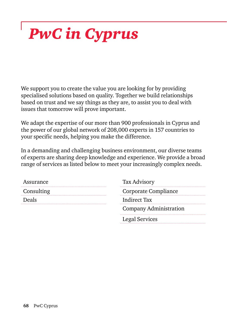# *PwC in Cyprus*

We support you to create the value you are looking for by providing specialised solutions based on quality. Together we build relationships based on trust and we say things as they are, to assist you to deal with issues that tomorrow will prove important.

We adapt the expertise of our more than 900 professionals in Cyprus and the power of our global network of 208,000 experts in 157 countries to your specific needs, helping you make the difference.

In a demanding and challenging business environment, our diverse teams of experts are sharing deep knowledge and experience. We provide a broad range of services as listed below to meet your increasingly complex needs.

| Assurance  |  |  |
|------------|--|--|
| Consulting |  |  |
| Deals      |  |  |
|            |  |  |

| <b>Tax Advisory</b>    |
|------------------------|
| Corporate Compliance   |
| Indirect Tax           |
| Company Administration |
| Legal Services         |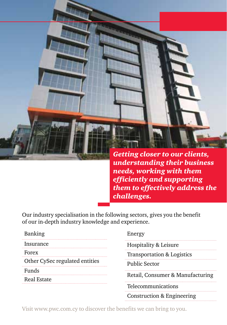*Getting closer to our clients, understanding their business needs, working with them efficiently and supporting them to effectively address the challenges.*

Our industry specialisation in the following sectors, gives you the benefit of our in-depth industry knowledge and experience.

| Banking                                                         | Energy                           |
|-----------------------------------------------------------------|----------------------------------|
| Insurance                                                       | Hospitality & Leisure            |
| Forex<br>Other CySec regulated entities<br>Funds<br>Real Estate | Transportation & Logistics       |
|                                                                 | Public Sector                    |
|                                                                 | Retail, Consumer & Manufacturing |
|                                                                 |                                  |
|                                                                 | Construction & Engineering       |

Visit www.pwc.com.cy to discover the benefits we can bring to you.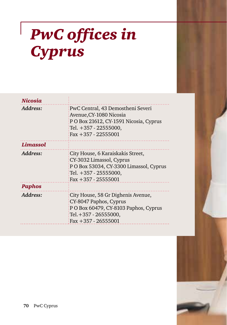# *PwC offices in Cyprus*

| <b>Nicosia</b>  |                                                                                                                                                                |
|-----------------|----------------------------------------------------------------------------------------------------------------------------------------------------------------|
| Address:        | PwC Central, 43 Demostheni Severi<br>Avenue, CY-1080 Nicosia<br>P O Box 21612, CY-1591 Nicosia, Cyprus<br>:Tel. +357 - 22555000.<br>$Fax + 357 - 22555001$     |
| <b>Limassol</b> |                                                                                                                                                                |
| Address:        | City House, 6 Karaiskakis Street,<br>CY-3032 Limassol, Cyprus<br>P O Box 53034, CY-3300 Limassol, Cyprus<br>$Tel. +357 - 25555000.$<br>$:$ Fax +357 - 25555001 |
| <b>Paphos</b>   |                                                                                                                                                                |
| Address:        | City House, 58 Gr Dighenis Avenue,<br>CY-8047 Paphos, Cyprus<br>P O Box 60479, CY-8103 Paphos, Cyprus<br>Tel. + 357 - 26555000,<br>Fax +357 - 26555001         |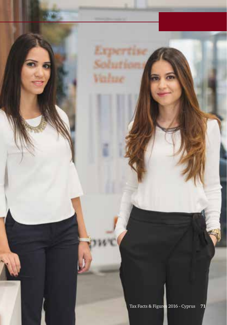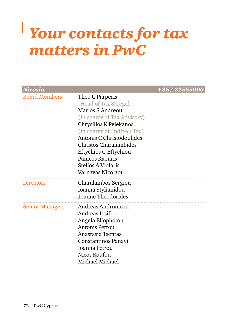## *Your contacts for tax matters in PwC*

| Nicosia                |                                                                                                                                                                                                                                                                                                    | $+357\text{-}22555000$ |
|------------------------|----------------------------------------------------------------------------------------------------------------------------------------------------------------------------------------------------------------------------------------------------------------------------------------------------|------------------------|
| <b>Board Members</b>   | Theo C Parperis<br>(Head of Tax & Legal)<br>Marios S Andreou<br>(In charge of Tax Advisory)<br>Chrysilios K Pelekanos<br>(In charge of Indirect Tax)<br>Antonis C Christodoulides<br>Christos Charalambides<br>Eftychios G Eftychiou<br>Panicos Kaouris<br>Stelios A Violaris<br>Varnavas Nicolaou |                        |
| <b>Directors</b>       | Charalambos Sergiou<br>Ioanna Stylianidou<br>Joanne Theodorides                                                                                                                                                                                                                                    |                        |
| <b>Senior Managers</b> | Andreas Andronicou<br>Andreas Iosif<br>Angela Eliophotou<br>Antonis Petrou<br>Anastasia Tsentas<br>Constantinos Panayi<br><b>Ioanna Petrou</b><br>Nicos Koufou<br>Michael Michael                                                                                                                  |                        |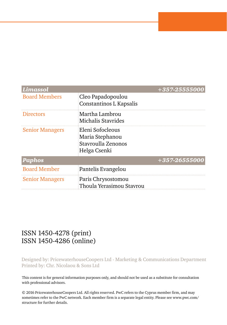| Limassol               |                                                                           | $+357 - 25555000$ |
|------------------------|---------------------------------------------------------------------------|-------------------|
| <b>Board Members</b>   | Cleo Papadopoulou<br>Constantinos L Kapsalis                              |                   |
| <b>Directors</b>       | Martha Lambrou<br>Michalis Stavrides                                      |                   |
| <b>Senior Managers</b> | Eleni Sofocleous<br>Maria Stephanou<br>Stavroulla Zenonos<br>Helga Csenki |                   |
| Paphos                 |                                                                           | $+357 - 26555000$ |
| <b>Board Member</b>    | Pantelis Evangelou                                                        |                   |
| <b>Senior Managers</b> | Paris Chrysostomou<br>Thoula Yerasimou Stavrou                            |                   |

## ISSN 1450-4278 (print) ISSN 1450-4286 (online)

Designed by: PricewaterhouseCoopers Ltd - Marketing & Communications Department Printed by: Chr. Nicolaou & Sons Ltd

This content is for general information purposes only, and should not be used as a substitute for consultation with professional advisors.

© 2016 PricewaterhouseCoopers Ltd. All rights reserved. PwC refers to the Cyprus member firm, and may sometimes refer to the PwC network. Each member firm is a separate legal entity. Please see www.pwc.com/ structure for further details.